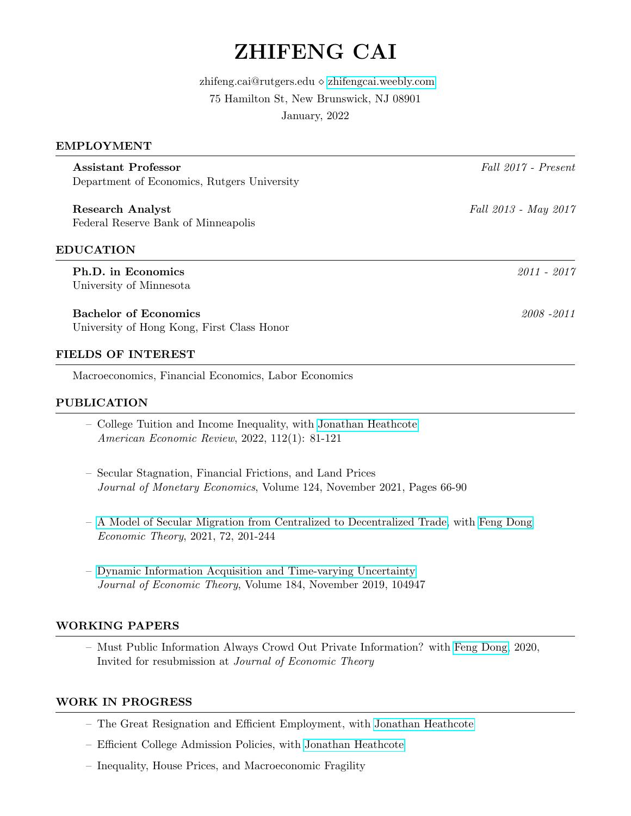# ZHIFENG CAI

zhifeng.cai@rutgers.edu ⋄ <zhifengcai.weebly.com> 75 Hamilton St, New Brunswick, NJ 08901 January, 2022

# EMPLOYMENT

Assistant Professor Fall 2017 - Present Department of Economics, Rutgers University Research Analyst Fall 2013 - May 2017 Federal Reserve Bank of Minneapolis EDUCATION Ph.D. in Economics 2011 - 2017 University of Minnesota Bachelor of Economics 2008 -2011 University of Hong Kong, First Class Honor

# FIELDS OF INTEREST

Macroeconomics, Financial Economics, Labor Economics

# PUBLICATION

- College Tuition and Income Inequality, with [Jonathan Heathcote](http://www.jonathanheathcote.com/) American Economic Review, 2022, 112(1): 81-121
- Secular Stagnation, Financial Frictions, and Land Prices Journal of Monetary Economics, Volume 124, November 2021, Pages 66-90
- – [A Model of Secular Migration from Centralized to Decentralized Trade,](https://link.springer.com/article/10.1007/s00199-020-01280-2) with [Feng Dong](https://fengdongecon.weebly.com/) Economic Theory, 2021, 72, 201-244
- – [Dynamic Information Acquisition and Time-varying Uncertainty](https://www.sciencedirect.com/science/article/pii/S0022053118304721) Journal of Economic Theory, Volume 184, November 2019, 104947

### WORKING PAPERS

– Must Public Information Always Crowd Out Private Information? with [Feng Dong,](https://fengdongecon.weebly.com/) 2020, Invited for resubmission at Journal of Economic Theory

# WORK IN PROGRESS

- The Great Resignation and Efficient Employment, with [Jonathan Heathcote](http://www.jonathanheathcote.com/)
- Efficient College Admission Policies, with [Jonathan Heathcote](http://www.jonathanheathcote.com/)
- Inequality, House Prices, and Macroeconomic Fragility